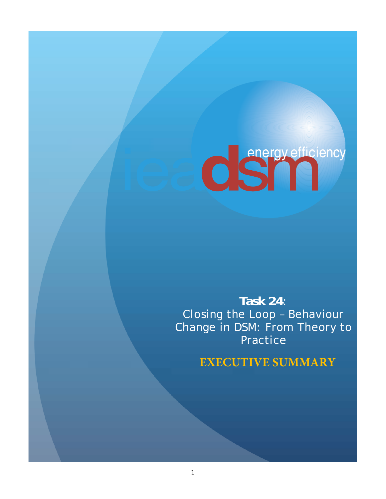# **CSTTT**

**Task 24**: Closing the Loop – Behaviour Change in DSM: From Theory to Practice

**EXECUTIVE SUMMARY**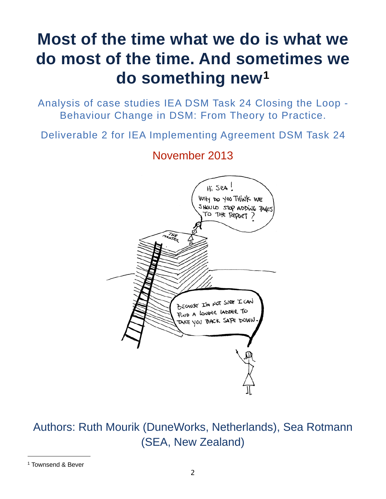# **Most of the time what we do is what we do most of the time. And sometimes we do something new[1](#page-1-0)**

Analysis of case studies IEA DSM Task 24 Closing the Loop - Behaviour Change in DSM: From Theory to Practice.

Deliverable 2 for IEA Implementing Agreement DSM Task 24

## November 2013



Authors: Ruth Mourik (DuneWorks, Netherlands), Sea Rotmann (SEA, New Zealand)

<span id="page-1-0"></span><sup>1</sup> Townsend & Bever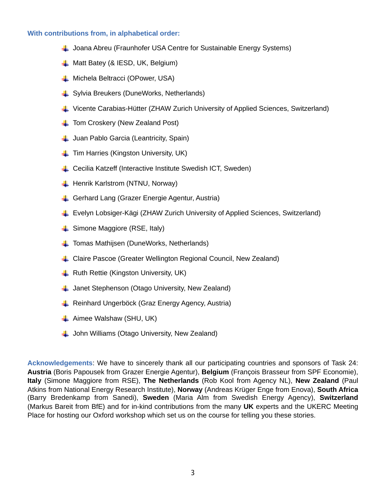#### **With contributions from, in alphabetical order:**

- $\downarrow$  Joana Abreu (Fraunhofer USA Centre for Sustainable Energy Systems)
- $\downarrow$  Matt Batey (& IESD, UK, Belgium)
- **L** Michela Beltracci (OPower, USA)
- Sylvia Breukers (DuneWorks, Netherlands)
- Vicente Carabias-Hütter (ZHAW Zurich University of Applied Sciences, Switzerland)
- $\perp$  Tom Croskery (New Zealand Post)
- **L** Juan Pablo Garcia (Leantricity, Spain)
- $\pm$  Tim Harries (Kingston University, UK)
- **↓** Cecilia Katzeff (Interactive Institute Swedish ICT, Sweden)
- **H** Henrik Karlstrom (NTNU, Norway)
- Gerhard Lang (Grazer Energie Agentur, Austria)
- Evelyn Lobsiger-Kägi (ZHAW Zurich University of Applied Sciences, Switzerland)
- **↓ Simone Maggiore (RSE, Italy)**
- **T** Tomas Mathijsen (DuneWorks, Netherlands)
- **L** Claire Pascoe (Greater Wellington Regional Council, New Zealand)
- $\downarrow$  Ruth Rettie (Kingston University, UK)
- $\downarrow$  Janet Stephenson (Otago University, New Zealand)
- **↓** Reinhard Ungerböck (Graz Energy Agency, Austria)
- $\downarrow$  Aimee Walshaw (SHU, UK)
- **L** John Williams (Otago University, New Zealand)

**Acknowledgements**: We have to sincerely thank all our participating countries and sponsors of Task 24: **Austria** (Boris Papousek from Grazer Energie Agentur), **Belgium** (François Brasseur from SPF Economie), **Italy** (Simone Maggiore from RSE), **The Netherlands** (Rob Kool from Agency NL), **New Zealand** (Paul Atkins from National Energy Research Institute), **Norway** (Andreas Krüger Enge from Enova), **South Africa** (Barry Bredenkamp from Sanedi), **Sweden** (Maria Alm from Swedish Energy Agency), **Switzerland** (Markus Bareit from BfE) and for in-kind contributions from the many **UK** experts and the UKERC Meeting Place for hosting our Oxford workshop which set us on the course for telling you these stories.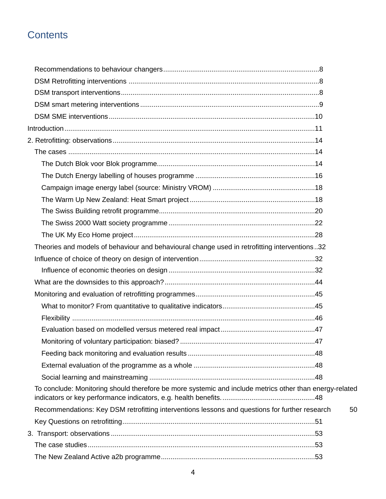### **Contents**

| Theories and models of behaviour and behavioural change used in retrofitting interventions32            |    |
|---------------------------------------------------------------------------------------------------------|----|
|                                                                                                         |    |
|                                                                                                         |    |
|                                                                                                         |    |
|                                                                                                         |    |
|                                                                                                         |    |
|                                                                                                         |    |
|                                                                                                         |    |
|                                                                                                         |    |
|                                                                                                         |    |
|                                                                                                         |    |
|                                                                                                         |    |
| To conclude: Monitoring should therefore be more systemic and include metrics other than energy-related |    |
| Recommendations: Key DSM retrofitting interventions lessons and questions for further research          | 50 |
|                                                                                                         |    |
|                                                                                                         |    |
|                                                                                                         |    |
|                                                                                                         |    |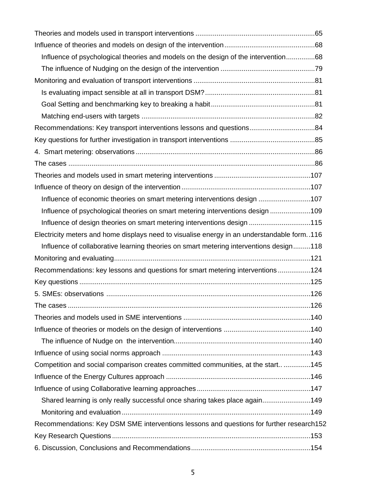| Influence of psychological theories and models on the design of the intervention68         |  |
|--------------------------------------------------------------------------------------------|--|
|                                                                                            |  |
|                                                                                            |  |
|                                                                                            |  |
|                                                                                            |  |
|                                                                                            |  |
| Recommendations: Key transport interventions lessons and questions84                       |  |
|                                                                                            |  |
|                                                                                            |  |
|                                                                                            |  |
|                                                                                            |  |
|                                                                                            |  |
| Influence of economic theories on smart metering interventions design 107                  |  |
| Influence of psychological theories on smart metering interventions design 109             |  |
| Influence of design theories on smart metering interventions design 115                    |  |
| Electricity meters and home displays need to visualise energy in an understandable form116 |  |
| Influence of collaborative learning theories on smart metering interventions design118     |  |
|                                                                                            |  |
| Recommendations: key lessons and questions for smart metering interventions124             |  |
|                                                                                            |  |
|                                                                                            |  |
|                                                                                            |  |
|                                                                                            |  |
|                                                                                            |  |
|                                                                                            |  |
|                                                                                            |  |
| Competition and social comparison creates committed communities, at the start145           |  |
|                                                                                            |  |
|                                                                                            |  |
| Shared learning is only really successful once sharing takes place again149                |  |
|                                                                                            |  |
| Recommendations: Key DSM SME interventions lessons and questions for further research152   |  |
|                                                                                            |  |
|                                                                                            |  |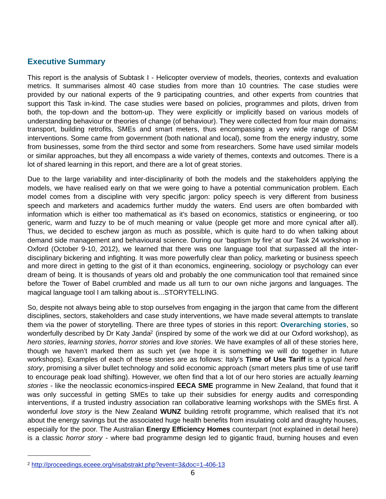#### **Executive Summary**

This report is the analysis of Subtask I - Helicopter overview of models, theories, contexts and evaluation metrics. It summarises almost 40 case studies from more than 10 countries. The case studies were provided by our national experts of the 9 participating countries, and other experts from countries that support this Task in-kind. The case studies were based on policies, programmes and pilots, driven from both, the top-down and the bottom-up. They were explicitly or implicitly based on various models of understanding behaviour or theories of change (of behaviour). They were collected from four main domains: transport, building retrofits, SMEs and smart meters, thus encompassing a very wide range of DSM interventions. Some came from government (both national and local), some from the energy industry, some from businesses, some from the third sector and some from researchers. Some have used similar models or similar approaches, but they all encompass a wide variety of themes, contexts and outcomes. There is a lot of shared learning in this report, and there are a lot of great stories.

Due to the large variability and inter-disciplinarity of both the models and the stakeholders applying the models, we have realised early on that we were going to have a potential communication problem. Each model comes from a discipline with very specific jargon: policy speech is very different from business speech and marketers and academics further muddy the waters. End users are often bombarded with information which is either too mathematical as it's based on economics, statistics or engineering, or too generic, warm and fuzzy to be of much meaning or value (people get more and more cynical after all). Thus, we decided to eschew jargon as much as possible, which is quite hard to do when talking about demand side management and behavioural science. During our 'baptism by fire' at our Task 24 workshop in Oxford (October 9-10, 2012), we learned that there was one language tool that surpassed all the interdisciplinary bickering and infighting. It was more powerfully clear than policy, marketing or business speech and more direct in getting to the gist of it than economics, engineering, sociology or psychology can ever dream of being. It is thousands of years old and probably the one communication tool that remained since before the Tower of Babel crumbled and made us all turn to our own niche jargons and languages. The magical language tool I am talking about is...STORYTELLING.

So, despite not always being able to stop ourselves from engaging in the jargon that came from the different disciplines, sectors, stakeholders and case study interventions, we have made several attempts to translate them via the power of storytelling. There are three types of stories in this report: **Overarching stories**, so wonderfully described by Dr Katy Janda<sup>2</sup> (inspired by some of the work we did at our Oxford workshop), as *hero stories*, *learning stories*, *horror stories* and *love stories*. We have examples of all of these stories here, though we haven't marked them as such yet (we hope it is something we will do together in future workshops). Examples of each of these stories are as follows: Italy's **Time of Use Tariff** is a typical *hero story*, promising a silver bullet technology and solid economic approach (smart meters plus time of use tariff to encourage peak load shifting). However, we often find that a lot of our hero stories are actually *learning stories* - like the neoclassic economics-inspired **EECA SME** programme in New Zealand, that found that it was only successful in getting SMEs to take up their subsidies for energy audits and corresponding interventions, if a trusted industry association ran collaborative learning workshops with the SMEs first. A wonderful *love story* is the New Zealand **WUNZ** building retrofit programme, which realised that it's not about the energy savings but the associated huge health benefits from insulating cold and draughty houses, especially for the poor. The Australian **Energy Efficiency Homes** counterpart (not explained in detail here) is a classic *horror story -* where bad programme design led to gigantic fraud, burning houses and even

<span id="page-5-0"></span><sup>2</sup> <http://proceedings.eceee.org/visabstrakt.php?event=3&doc=1-406-13>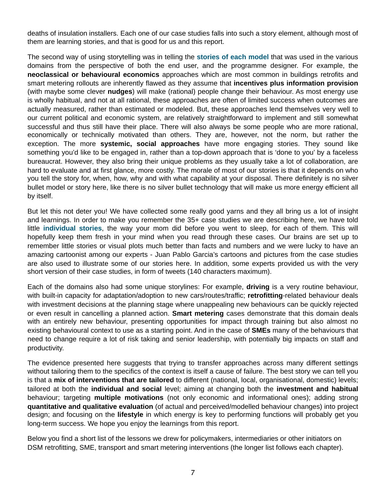deaths of insulation installers. Each one of our case studies falls into such a story element, although most of them are learning stories, and that is good for us and this report.

The second way of using storytelling was in telling the **stories of each model** that was used in the various domains from the perspective of both the end user, and the programme designer. For example, the **neoclassical or behavioural economics** approaches which are most common in buildings retrofits and smart metering rollouts are inherently flawed as they assume that **incentives plus information provision** (with maybe some clever **nudges**) will make (rational) people change their behaviour. As most energy use is wholly habitual, and not at all rational, these approaches are often of limited success when outcomes are actually measured, rather than estimated or modeled. But, these approaches lend themselves very well to our current political and economic system, are relatively straightforward to implement and still somewhat successful and thus still have their place. There will also always be some people who are more rational, economically or technically motivated than others. They are, however, not the norm, but rather the exception. The more **systemic, social approaches** have more engaging stories. They sound like something you'd like to be engaged in, rather than a top-down approach that is 'done to you' by a faceless bureaucrat. However, they also bring their unique problems as they usually take a lot of collaboration, are hard to evaluate and at first glance, more costly. The morale of most of our stories is that it depends on who you tell the story for, when, how, why and with what capability at your disposal. There definitely is no silver bullet model or story here, like there is no silver bullet technology that will make us more energy efficient all by itself.

But let this not deter you! We have collected some really good yarns and they all bring us a lot of insight and learnings. In order to make you remember the 35+ case studies we are describing here, we have told little **individual stories**, the way your mom did before you went to sleep, for each of them. This will hopefully keep them fresh in your mind when you read through these cases. Our brains are set up to remember little stories or visual plots much better than facts and numbers and we were lucky to have an amazing cartoonist among our experts - Juan Pablo Garcia's cartoons and pictures from the case studies are also used to illustrate some of our stories here. In addition, some experts provided us with the very short version of their case studies, in form of tweets (140 characters maximum).

Each of the domains also had some unique storylines: For example, **driving** is a very routine behaviour, with built-in capacity for adaptation/adoption to new cars/routes/traffic; **retrofitting**-related behaviour deals with investment decisions at the planning stage where unappealing new behaviours can be quickly rejected or even result in cancelling a planned action. **Smart metering** cases demonstrate that this domain deals with an entirely new behaviour, presenting opportunities for impact through training but also almost no existing behavioural context to use as a starting point. And in the case of **SMEs** many of the behaviours that need to change require a lot of risk taking and senior leadership, with potentially big impacts on staff and productivity.

The evidence presented here suggests that trying to transfer approaches across many different settings without tailoring them to the specifics of the context is itself a cause of failure. The best story we can tell you is that a **mix of interventions that are tailored** to different (national, local, organisational, domestic) levels; tailored at both the **individual and social** level; aiming at changing both the **investment and habitual** behaviour; targeting **multiple motivations** (not only economic and informational ones); adding strong **quantitative and qualitative evaluation** (of actual and perceived/modelled behaviour changes) into project design; and focusing on the **lifestyle** in which energy is key to performing functions will probably get you long-term success. We hope you enjoy the learnings from this report.

Below you find a short list of the lessons we drew for policymakers, intermediaries or other initiators on DSM retrofitting, SME, transport and smart metering interventions (the longer list follows each chapter).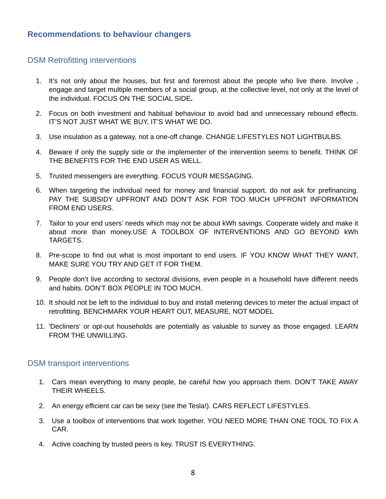#### <span id="page-7-0"></span>**Recommendations to behaviour changers**

#### <span id="page-7-1"></span>DSM Retrofitting interventions

- 1. It's not only about the houses, but first and foremost about the people who live there. Involve , engage and target multiple members of a social group, at the collective level, not only at the level of the individual. FOCUS ON THE SOCIAL SIDE**.**
- 2. Focus on both investment and habitual behaviour to avoid bad and unnecessary rebound effects. IT'S NOT JUST WHAT WE BUY, IT'S WHAT WE DO.
- 3. Use insulation as a gateway, not a one-off change. CHANGE LIFESTYLES NOT LIGHTBULBS.
- 4. Beware if only the supply side or the implementer of the intervention seems to benefit. THINK OF THE BENEFITS FOR THE END USER AS WELL.
- 5. Trusted messengers are everything. FOCUS YOUR MESSAGING.
- 6. When targeting the individual need for money and financial support, do not ask for prefinancing. PAY THE SUBSIDY UPFRONT AND DON'T ASK FOR TOO MUCH UPFRONT INFORMATION FROM END USERS.
- 7. Tailor to your end users' needs which may not be about kWh savings. Cooperate widely and make it about more than money.USE A TOOLBOX OF INTERVENTIONS AND GO BEYOND kWh TARGETS.
- 8. Pre-scope to find out what is most important to end users. IF YOU KNOW WHAT THEY WANT, MAKE SURE YOU TRY AND GET IT FOR THEM.
- 9. People don't live according to sectoral divisions, even people in a household have different needs and habits. DON'T BOX PEOPLE IN TOO MUCH.
- 10. It should not be left to the individual to buy and install metering devices to meter the actual impact of retrofitting. BENCHMARK YOUR HEART OUT, MEASURE, NOT MODEL
- 11. 'Decliners' or opt-out households are potentially as valuable to survey as those engaged. LEARN FROM THE UNWILLING.

#### <span id="page-7-2"></span>DSM transport interventions

- 1. Cars mean everything to many people, be careful how you approach them. DON'T TAKE AWAY THEIR WHEELS.
- 2. An energy efficient car can be sexy (see the Tesla!). CARS REFLECT LIFESTYLES.
- 3. Use a toolbox of interventions that work together. YOU NEED MORE THAN ONE TOOL TO FIX A CAR.
- 4. Active coaching by trusted peers is key. TRUST IS EVERYTHING.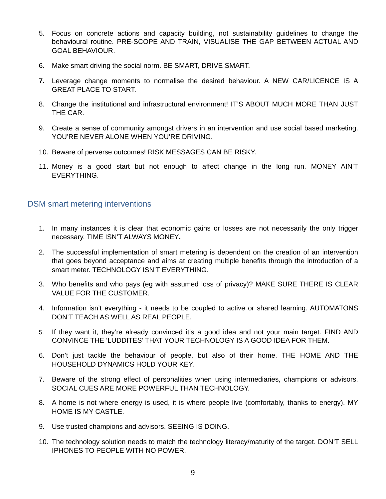- 5. Focus on concrete actions and capacity building, not sustainability guidelines to change the behavioural routine. PRE-SCOPE AND TRAIN, VISUALISE THE GAP BETWEEN ACTUAL AND GOAL BEHAVIOUR.
- 6. Make smart driving the social norm. BE SMART, DRIVE SMART.
- **7.** Leverage change moments to normalise the desired behaviour. A NEW CAR/LICENCE IS A GREAT PLACE TO START.
- 8. Change the institutional and infrastructural environment! IT'S ABOUT MUCH MORE THAN JUST THE CAR.
- 9. Create a sense of community amongst drivers in an intervention and use social based marketing. YOU'RE NEVER ALONE WHEN YOU'RE DRIVING.
- 10. Beware of perverse outcomes! RISK MESSAGES CAN BE RISKY.
- 11. Money is a good start but not enough to affect change in the long run. MONEY AIN'T EVERYTHING.

#### <span id="page-8-0"></span>DSM smart metering interventions

- 1. In many instances it is clear that economic gains or losses are not necessarily the only trigger necessary. TIME ISN'T ALWAYS MONEY**.**
- 2. The successful implementation of smart metering is dependent on the creation of an intervention that goes beyond acceptance and aims at creating multiple benefits through the introduction of a smart meter. TECHNOLOGY ISN'T EVERYTHING.
- 3. Who benefits and who pays (eg with assumed loss of privacy)? MAKE SURE THERE IS CLEAR VALUE FOR THE CUSTOMER.
- 4. Information isn't everything it needs to be coupled to active or shared learning. AUTOMATONS DON'T TEACH AS WELL AS REAL PEOPLE.
- 5. If they want it, they're already convinced it's a good idea and not your main target. FIND AND CONVINCE THE 'LUDDITES' THAT YOUR TECHNOLOGY IS A GOOD IDEA FOR THEM.
- 6. Don't just tackle the behaviour of people, but also of their home. THE HOME AND THE HOUSEHOLD DYNAMICS HOLD YOUR KEY.
- 7. Beware of the strong effect of personalities when using intermediaries, champions or advisors. SOCIAL CUES ARE MORE POWERFUL THAN TECHNOLOGY.
- 8. A home is not where energy is used, it is where people live (comfortably, thanks to energy). MY HOME IS MY CASTLE.
- 9. Use trusted champions and advisors. SEEING IS DOING.
- 10. The technology solution needs to match the technology literacy/maturity of the target. DON'T SELL IPHONES TO PEOPLE WITH NO POWER.